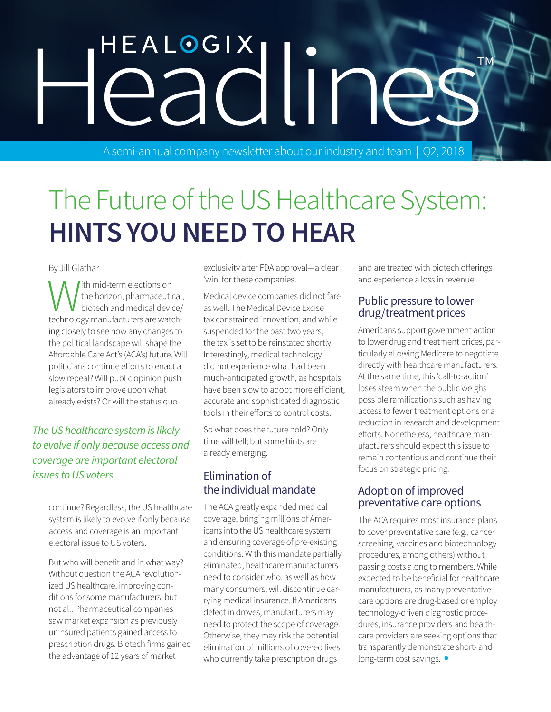# HEALOGIX<br>eadline

A semi-annual company newsletter about our industry and team | Q2, 2018

## The Future of the US Healthcare System: **HINTS YOU NEED TO HEAR**

By Jill Glathar

With mid-term elections on<br>the horizon, pharmaceutic<br>technology manufacturers are wate the horizon, pharmaceutical, biotech and medical device/ technology manufacturers are watching closely to see how any changes to the political landscape will shape the Affordable Care Act's (ACA's) future. Will politicians continue efforts to enact a slow repeal? Will public opinion push legislators to improve upon what already exists? Or will the status quo

#### *The US healthcare system is likely to evolve if only because access and coverage are important electoral issues to US voters*

continue? Regardless, the US healthcare system is likely to evolve if only because access and coverage is an important electoral issue to US voters.

But who will benefit and in what way? Without question the ACA revolutionized US healthcare, improving conditions for some manufacturers, but not all. Pharmaceutical companies saw market expansion as previously uninsured patients gained access to prescription drugs. Biotech firms gained the advantage of 12 years of market

exclusivity after FDA approval—a clear 'win' for these companies.

Medical device companies did not fare as well. The Medical Device Excise tax constrained innovation, and while suspended for the past two years, the tax is set to be reinstated shortly. Interestingly, medical technology did not experience what had been much-anticipated growth, as hospitals have been slow to adopt more efficient, accurate and sophisticated diagnostic tools in their efforts to control costs.

So what does the future hold? Only time will tell; but some hints are already emerging.

#### Elimination of the individual mandate

The ACA greatly expanded medical coverage, bringing millions of Americans into the US healthcare system and ensuring coverage of pre-existing conditions. With this mandate partially eliminated, healthcare manufacturers need to consider who, as well as how many consumers, will discontinue carrying medical insurance. If Americans defect in droves, manufacturers may need to protect the scope of coverage. Otherwise, they may risk the potential elimination of millions of covered lives who currently take prescription drugs

and are treated with biotech offerings and experience a loss in revenue.

#### Public pressure to lower drug/treatment prices

Americans support government action to lower drug and treatment prices, particularly allowing Medicare to negotiate directly with healthcare manufacturers. At the same time, this 'call-to-action' loses steam when the public weighs possible ramifications such as having access to fewer treatment options or a reduction in research and development efforts. Nonetheless, healthcare manufacturers should expect this issue to remain contentious and continue their focus on strategic pricing.

#### Adoption of improved preventative care options

The ACA requires most insurance plans to cover preventative care (e.g., cancer screening, vaccines and biotechnology procedures, among others) without passing costs along to members. While expected to be beneficial for healthcare manufacturers, as many preventative care options are drug-based or employ technology-driven diagnostic procedures, insurance providers and healthcare providers are seeking options that transparently demonstrate short- and long-term cost savings. •